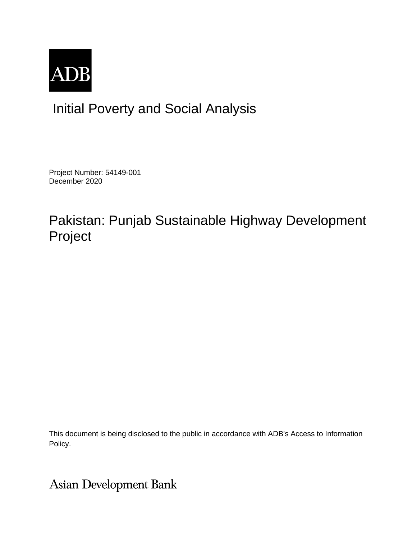

# Initial Poverty and Social Analysis

Project Number: 54149-001 December 2020

## Pakistan: Punjab Sustainable Highway Development Project

This document is being disclosed to the public in accordance with ADB's Access to Information Policy.

**Asian Development Bank**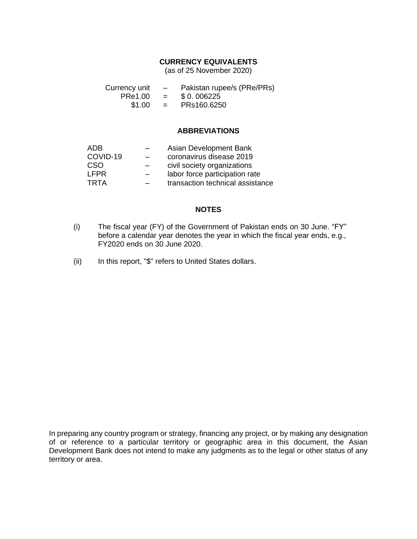### **CURRENCY EQUIVALENTS**

(as of 25 November 2020)

| Currency unit | $\overline{\phantom{0}}$  | Pakistan rupee/s (PRe/PRs) |  |
|---------------|---------------------------|----------------------------|--|
| PRe1.00       | $\mathbf{r} = \mathbf{r}$ | \$ 0.006225                |  |
| \$1.00        | $\mathbf{r} = \mathbf{r}$ | PRs160.6250                |  |

### **ABBREVIATIONS**

| ADB         | Asian Development Bank           |
|-------------|----------------------------------|
| COVID-19    | coronavirus disease 2019         |
| CSO         | civil society organizations      |
| <b>LFPR</b> | labor force participation rate   |
| <b>TRTA</b> | transaction technical assistance |

### **NOTES**

- (i) The fiscal year (FY) of the Government of Pakistan ends on 30 June. "FY" before a calendar year denotes the year in which the fiscal year ends, e.g., FY2020 ends on 30 June 2020.
- (ii) In this report, "\$" refers to United States dollars.

In preparing any country program or strategy, financing any project, or by making any designation of or reference to a particular territory or geographic area in this document, the Asian Development Bank does not intend to make any judgments as to the legal or other status of any territory or area.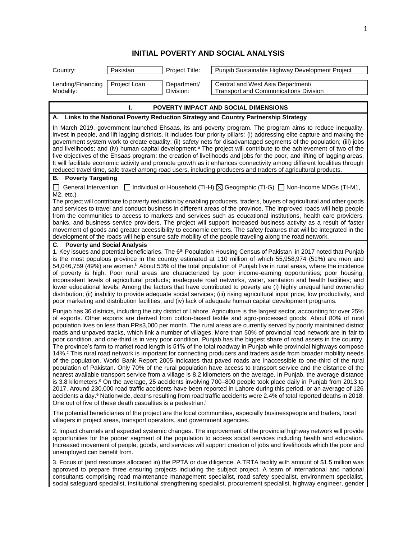## **INITIAL POVERTY AND SOCIAL ANALYSIS**

| Country:                                                                                                                                                                                                                                                                                                                                                                                                                                                                                                                                                                                                                                                                                                                                                                                                                                                                                                                                                                                                                    | Pakistan                                                                                                                                                                                                                                                                                                                                                                                                                                                                           | Project Title:           | Punjab Sustainable Highway Development Project                                                                                                                                                                                                                                                                                                                                                                                                                                                                                                                                                                                                                                                                                                                                                                                                                                                                                                                                                                                                                                                                                                                                                                                                                                                                                                                                                                                                                                                                                                                                                                                     |  |
|-----------------------------------------------------------------------------------------------------------------------------------------------------------------------------------------------------------------------------------------------------------------------------------------------------------------------------------------------------------------------------------------------------------------------------------------------------------------------------------------------------------------------------------------------------------------------------------------------------------------------------------------------------------------------------------------------------------------------------------------------------------------------------------------------------------------------------------------------------------------------------------------------------------------------------------------------------------------------------------------------------------------------------|------------------------------------------------------------------------------------------------------------------------------------------------------------------------------------------------------------------------------------------------------------------------------------------------------------------------------------------------------------------------------------------------------------------------------------------------------------------------------------|--------------------------|------------------------------------------------------------------------------------------------------------------------------------------------------------------------------------------------------------------------------------------------------------------------------------------------------------------------------------------------------------------------------------------------------------------------------------------------------------------------------------------------------------------------------------------------------------------------------------------------------------------------------------------------------------------------------------------------------------------------------------------------------------------------------------------------------------------------------------------------------------------------------------------------------------------------------------------------------------------------------------------------------------------------------------------------------------------------------------------------------------------------------------------------------------------------------------------------------------------------------------------------------------------------------------------------------------------------------------------------------------------------------------------------------------------------------------------------------------------------------------------------------------------------------------------------------------------------------------------------------------------------------------|--|
| Lending/Financing<br>Modality:                                                                                                                                                                                                                                                                                                                                                                                                                                                                                                                                                                                                                                                                                                                                                                                                                                                                                                                                                                                              | Project Loan                                                                                                                                                                                                                                                                                                                                                                                                                                                                       | Department/<br>Division: | Central and West Asia Department/<br><b>Transport and Communications Division</b>                                                                                                                                                                                                                                                                                                                                                                                                                                                                                                                                                                                                                                                                                                                                                                                                                                                                                                                                                                                                                                                                                                                                                                                                                                                                                                                                                                                                                                                                                                                                                  |  |
|                                                                                                                                                                                                                                                                                                                                                                                                                                                                                                                                                                                                                                                                                                                                                                                                                                                                                                                                                                                                                             | ı.                                                                                                                                                                                                                                                                                                                                                                                                                                                                                 |                          | POVERTY IMPACT AND SOCIAL DIMENSIONS                                                                                                                                                                                                                                                                                                                                                                                                                                                                                                                                                                                                                                                                                                                                                                                                                                                                                                                                                                                                                                                                                                                                                                                                                                                                                                                                                                                                                                                                                                                                                                                               |  |
|                                                                                                                                                                                                                                                                                                                                                                                                                                                                                                                                                                                                                                                                                                                                                                                                                                                                                                                                                                                                                             |                                                                                                                                                                                                                                                                                                                                                                                                                                                                                    |                          | A. Links to the National Poverty Reduction Strategy and Country Partnership Strategy                                                                                                                                                                                                                                                                                                                                                                                                                                                                                                                                                                                                                                                                                                                                                                                                                                                                                                                                                                                                                                                                                                                                                                                                                                                                                                                                                                                                                                                                                                                                               |  |
| In March 2019, government launched Ehsaas, its anti-poverty program. The program aims to reduce inequality,<br>invest in people, and lift lagging districts. It includes four priority pillars: (i) addressing elite capture and making the<br>government system work to create equality; (ii) safety nets for disadvantaged segments of the population; (iii) jobs<br>and livelihoods; and (iv) human capital development. <sup>a</sup> The project will contribute to the achievement of two of the<br>five objectives of the Ehsaas program: the creation of livelihoods and jobs for the poor, and lifting of lagging areas.<br>It will facilitate economic activity and promote growth as it enhances connectivity among different localities through<br>reduced travel time, safe travel among road users, including producers and traders of agricultural products.                                                                                                                                                  |                                                                                                                                                                                                                                                                                                                                                                                                                                                                                    |                          |                                                                                                                                                                                                                                                                                                                                                                                                                                                                                                                                                                                                                                                                                                                                                                                                                                                                                                                                                                                                                                                                                                                                                                                                                                                                                                                                                                                                                                                                                                                                                                                                                                    |  |
| <b>B.</b> Poverty Targeting                                                                                                                                                                                                                                                                                                                                                                                                                                                                                                                                                                                                                                                                                                                                                                                                                                                                                                                                                                                                 |                                                                                                                                                                                                                                                                                                                                                                                                                                                                                    |                          |                                                                                                                                                                                                                                                                                                                                                                                                                                                                                                                                                                                                                                                                                                                                                                                                                                                                                                                                                                                                                                                                                                                                                                                                                                                                                                                                                                                                                                                                                                                                                                                                                                    |  |
| General Intervention $\Box$ Individual or Household (TI-H) $\boxtimes$ Geographic (TI-G) $\Box$ Non-Income MDGs (TI-M1,<br>M2, etc.)<br>The project will contribute to poverty reduction by enabling producers, traders, buyers of agricultural and other goods<br>and services to travel and conduct business in different areas of the province. The improved roads will help people<br>from the communities to access to markets and services such as educational institutions, health care providers,<br>banks, and business service providers. The project will support increased business activity as a result of faster<br>movement of goods and greater accessibility to economic centers. The safety features that will be integrated in the<br>development of the roads will help ensure safe mobility of the people traveling along the road network.                                                                                                                                                            |                                                                                                                                                                                                                                                                                                                                                                                                                                                                                    |                          |                                                                                                                                                                                                                                                                                                                                                                                                                                                                                                                                                                                                                                                                                                                                                                                                                                                                                                                                                                                                                                                                                                                                                                                                                                                                                                                                                                                                                                                                                                                                                                                                                                    |  |
| C. Poverty and Social Analysis<br>1. Key issues and potential beneficiaries. The 6 <sup>th</sup> Population Housing Census of Pakistan in 2017 noted that Punjab<br>is the most populous province in the country estimated at 110 million of which 55,958,974 (51%) are men and<br>54,046,759 (49%) are women. <sup>b</sup> About 53% of the total population of Punjab live in rural areas, where the incidence<br>of poverty is high. Poor rural areas are characterized by poor income-earning opportunities; poor housing;<br>inconsistent levels of agricultural products; inadequate road networks, water, sanitation and health facilities; and<br>lower educational levels. Among the factors that have contributed to poverty are (i) highly unequal land ownership<br>distribution; (ii) inability to provide adequate social services; (iii) rising agricultural input price, low productivity, and<br>poor marketing and distribution facilities; and (iv) lack of adequate human capital development programs. |                                                                                                                                                                                                                                                                                                                                                                                                                                                                                    |                          |                                                                                                                                                                                                                                                                                                                                                                                                                                                                                                                                                                                                                                                                                                                                                                                                                                                                                                                                                                                                                                                                                                                                                                                                                                                                                                                                                                                                                                                                                                                                                                                                                                    |  |
|                                                                                                                                                                                                                                                                                                                                                                                                                                                                                                                                                                                                                                                                                                                                                                                                                                                                                                                                                                                                                             | One out of five of these death casualties is a pedestrian. <sup>f</sup>                                                                                                                                                                                                                                                                                                                                                                                                            |                          | Punjab has 36 districts, including the city district of Lahore. Agriculture is the largest sector, accounting for over 25%<br>of exports. Other exports are derived from cotton-based textile and agro-processed goods. About 80% of rural<br>population lives on less than PRs3,000 per month. The rural areas are currently served by poorly maintained district<br>roads and unpaved tracks, which link a number of villages. More than 50% of provincial road network are in fair to<br>poor condition, and one-third is in very poor condition. Punjab has the biggest share of road assets in the country.<br>The province's farm to market road length is 51% of the total roadway in Punjab while provincial highways compose<br>14%. <sup>c</sup> This rural road network is important for connecting producers and traders aside from broader mobility needs<br>of the population. World Bank Report 2005 indicates that paved roads are inaccessible to one-third of the rural<br>population of Pakistan. Only 70% of the rural population have access to transport service and the distance of the<br>nearest available transport service from a village is 8.2 kilometers on the average. In Punjab, the average distance<br>is 3.8 kilometers. <sup>d</sup> On the average, 25 accidents involving 700–800 people took place daily in Punjab from 2013 to<br>2017. Around 230,000 road traffic accidents have been reported in Lahore during this period, or an average of 126<br>accidents a day. <sup>e</sup> Nationwide, deaths resulting from road traffic accidents were 2.4% of total reported deaths in 2018. |  |
| The potential beneficiaries of the project are the local communities, especially businesspeople and traders, local<br>villagers in project areas, transport operators, and government agencies.                                                                                                                                                                                                                                                                                                                                                                                                                                                                                                                                                                                                                                                                                                                                                                                                                             |                                                                                                                                                                                                                                                                                                                                                                                                                                                                                    |                          |                                                                                                                                                                                                                                                                                                                                                                                                                                                                                                                                                                                                                                                                                                                                                                                                                                                                                                                                                                                                                                                                                                                                                                                                                                                                                                                                                                                                                                                                                                                                                                                                                                    |  |
| unemployed can benefit from.                                                                                                                                                                                                                                                                                                                                                                                                                                                                                                                                                                                                                                                                                                                                                                                                                                                                                                                                                                                                |                                                                                                                                                                                                                                                                                                                                                                                                                                                                                    |                          | 2. Impact channels and expected systemic changes. The improvement of the provincial highway network will provide<br>opportunities for the poorer segment of the population to access social services including health and education.<br>Increased movement of people, goods, and services will support creation of jobs and livelihoods which the poor and                                                                                                                                                                                                                                                                                                                                                                                                                                                                                                                                                                                                                                                                                                                                                                                                                                                                                                                                                                                                                                                                                                                                                                                                                                                                         |  |
|                                                                                                                                                                                                                                                                                                                                                                                                                                                                                                                                                                                                                                                                                                                                                                                                                                                                                                                                                                                                                             | 3. Focus of (and resources allocated in) the PPTA or due diligence. A TRTA facility with amount of \$1.5 million was<br>approved to prepare three ensuring projects including the subject project. A team of international and national<br>consultants comprising road maintenance management specialist, road safety specialist, environment specialist,<br>social safeguard specialist, institutional strengthening specialist, procurement specialist, highway engineer, gender |                          |                                                                                                                                                                                                                                                                                                                                                                                                                                                                                                                                                                                                                                                                                                                                                                                                                                                                                                                                                                                                                                                                                                                                                                                                                                                                                                                                                                                                                                                                                                                                                                                                                                    |  |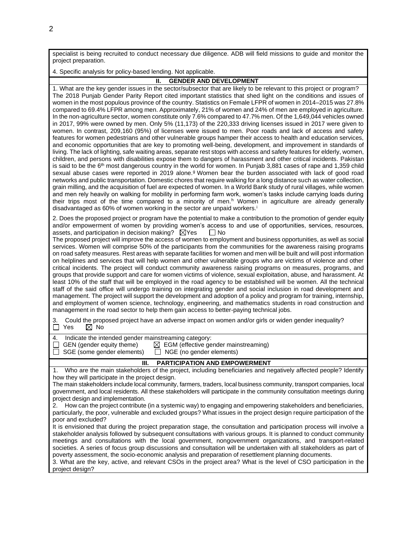specialist is being recruited to conduct necessary due diligence. ADB will field missions to guide and monitor the project preparation.

4. Specific analysis for policy-based lending. Not applicable.

#### **II. GENDER AND DEVELOPMENT**

1. What are the key gender issues in the sector/subsector that are likely to be relevant to this project or program? The 2018 Punjab Gender Parity Report cited important statistics that shed light on the conditions and issues of women in the most populous province of the country. Statistics on Female LFPR of women in 2014–2015 was 27.8% compared to 69.4% LFPR among men. Approximately, 21% of women and 24% of men are employed in agriculture. In the non-agriculture sector, women constitute only 7.6% compared to 47.7% men. Of the 1,649,044 vehicles owned in 2017, 99% were owned by men. Only 5% (11,173) of the 220,333 driving licenses issued in 2017 were given to women. In contrast, 209,160 (95%) of licenses were issued to men. Poor roads and lack of access and safety features for women pedestrians and other vulnerable groups hamper their access to health and education services, and economic opportunities that are key to promoting well-being, development, and improvement in standards of living. The lack of lighting, safe waiting areas, separate rest stops with access and safety features for elderly, women, children, and persons with disabilities expose them to dangers of harassment and other critical incidents. Pakistan is said to be the 6<sup>th</sup> most dangerous country in the world for women. In Punjab 3,881 cases of rape and 1,359 child sexual abuse cases were reported in 2019 alone.<sup>g</sup> Women bear the burden associated with lack of good road networks and public transportation. Domestic chores that require walking for a long distance such as water collection, grain milling, and the acquisition of fuel are expected of women. In a World Bank study of rural villages, while women and men rely heavily on walking for mobility in performing farm work, women's tasks include carrying loads during their trips most of the time compared to a minority of men.<sup>h</sup> Women in agriculture are already generally disadvantaged as 60% of women working in the sector are unpaid workers.<sup>i</sup>

2. Does the proposed project or program have the potential to make a contribution to the promotion of gender equity and/or empowerment of women by providing women's access to and use of opportunities, services, resources, assets, and participation in decision making?  $\boxtimes$ Yes  $\Box$  No assets, and participation in decision making?  $\boxtimes$  Yes

The proposed project will improve the access of women to employment and business opportunities, as well as social services. Women will comprise 50% of the participants from the communities for the awareness raising programs on road safety measures. Rest areas with separate facilities for women and men will be built and will post information on helplines and services that will help women and other vulnerable groups who are victims of violence and other critical incidents. The project will conduct community awareness raising programs on measures, programs, and groups that provide support and care for women victims of violence, sexual exploitation, abuse, and harassment. At least 10% of the staff that will be employed in the road agency to be established will be women. All the technical staff of the said office will undergo training on integrating gender and social inclusion in road development and management. The project will support the development and adoption of a policy and program for training, internship, and employment of women science, technology, engineering, and mathematics students in road construction and management in the road sector to help them gain access to better-paying technical jobs.

3. Could the proposed project have an adverse impact on women and/or girls or widen gender inequality?<br>  $\Box$  Yes  $\Box$  No  $\boxtimes$  No

| 4. | Indicate the intended gender mainstreaming category: |  |  |
|----|------------------------------------------------------|--|--|

| GEN (gender equity theme) |  | $\boxtimes$ EGM (effective gender mainstreaming) |  |
|---------------------------|--|--------------------------------------------------|--|

 $\Box$  SGE (some gender elements)  $\Box$  NGE (no gender elements)

#### **III. PARTICIPATION AND EMPOWERMENT**

1. Who are the main stakeholders of the project, including beneficiaries and negatively affected people? Identify how they will participate in the project design.

The main stakeholders include local community, farmers, traders, local business community, transport companies, local government, and local residents. All these stakeholders will participate in the community consultation meetings during project design and implementation.

2. How can the project contribute (in a systemic way) to engaging and empowering stakeholders and beneficiaries, particularly, the poor, vulnerable and excluded groups? What issues in the project design require participation of the poor and excluded?

It is envisioned that during the project preparation stage, the consultation and participation process will involve a stakeholder analysis followed by subsequent consultations with various groups. It is planned to conduct community meetings and consultations with the local government, nongovernment organizations, and transport-related societies. A series of focus group discussions and consultation will be undertaken with all stakeholders as part of poverty assessment, the socio-economic analysis and preparation of resettlement planning documents.

3. What are the key, active, and relevant CSOs in the project area? What is the level of CSO participation in the project design?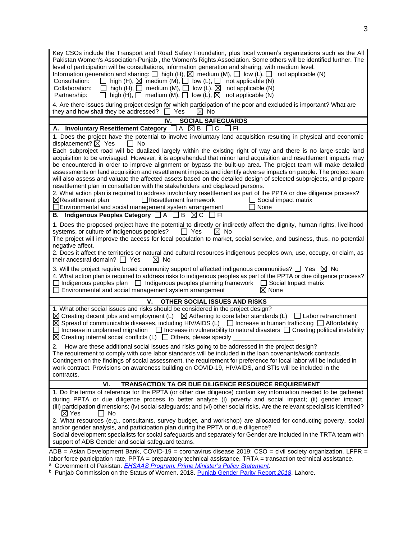| Key CSOs include the Transport and Road Safety Foundation, plus local women's organizations such as the All<br>Pakistan Women's Association-Punjab, the Women's Rights Association. Some others will be identified further. The<br>level of participation will be consultations, information generation and sharing, with medium level.<br>Information generation and sharing: $\square$ high (H), $\square$ medium (M), $\square$ low (L), $\square$<br>not applicable (N)<br>Consultation:                                                                                                                                                                                                                                                                                |  |  |
|-----------------------------------------------------------------------------------------------------------------------------------------------------------------------------------------------------------------------------------------------------------------------------------------------------------------------------------------------------------------------------------------------------------------------------------------------------------------------------------------------------------------------------------------------------------------------------------------------------------------------------------------------------------------------------------------------------------------------------------------------------------------------------|--|--|
| $\Box$ high (H), $\boxtimes$ medium (M), $\Box$ low (L), $\Box$ not applicable (N)<br>high (H), $\Box$ medium (M), $\Box$ low (L), $\boxtimes$ not applicable (N)<br>Collaboration:<br>$\perp$<br>high (H), $\Box$ medium (M), $\Box$ low (L), $\boxtimes$ not applicable (N)<br>Partnership:<br>$\perp$                                                                                                                                                                                                                                                                                                                                                                                                                                                                    |  |  |
| 4. Are there issues during project design for which participation of the poor and excluded is important? What are<br>they and how shall they be addressed? $\Box$ Yes<br>$\boxtimes$ No                                                                                                                                                                                                                                                                                                                                                                                                                                                                                                                                                                                     |  |  |
| IV.<br><b>SOCIAL SAFEGUARDS</b>                                                                                                                                                                                                                                                                                                                                                                                                                                                                                                                                                                                                                                                                                                                                             |  |  |
| A. Involuntary Resettlement Category $\Box A \boxtimes B \Box C$<br>I FI                                                                                                                                                                                                                                                                                                                                                                                                                                                                                                                                                                                                                                                                                                    |  |  |
| 1. Does the project have the potential to involve involuntary land acquisition resulting in physical and economic<br>displacement? $\boxtimes$ Yes<br>l I No                                                                                                                                                                                                                                                                                                                                                                                                                                                                                                                                                                                                                |  |  |
| Each subproject road will be dualized largely within the existing right of way and there is no large-scale land<br>acquisition to be envisaged. However, it is apprehended that minor land acquisition and resettlement impacts may<br>be encountered in order to improve alignment or bypass the built-up area. The project team will make detailed<br>assessments on land acquisition and resettlement impacts and identify adverse impacts on people. The project team<br>will also assess and valuate the affected assets based on the detailed design of selected subprojects, and prepare<br>resettlement plan in consultation with the stakeholders and displaced persons.                                                                                           |  |  |
| 2. What action plan is required to address involuntary resettlement as part of the PPTA or due diligence process?<br>Resettlement framework<br>$\boxtimes$ Resettlement plan<br>Social impact matrix<br>Environmental and social management system arrangement<br>None                                                                                                                                                                                                                                                                                                                                                                                                                                                                                                      |  |  |
| B. Indigenous Peoples Category □ A □ B ⊠ C □ FI                                                                                                                                                                                                                                                                                                                                                                                                                                                                                                                                                                                                                                                                                                                             |  |  |
| 1. Does the proposed project have the potential to directly or indirectly affect the dignity, human rights, livelihood<br>systems, or culture of indigenous peoples?<br>T Yes<br>$\boxtimes$ No<br>The project will improve the access for local population to market, social service, and business, thus, no potential<br>negative affect.<br>2. Does it affect the territories or natural and cultural resources indigenous peoples own, use, occupy, or claim, as                                                                                                                                                                                                                                                                                                        |  |  |
| their ancestral domain? $\Box$ Yes<br>$\bowtie$ No                                                                                                                                                                                                                                                                                                                                                                                                                                                                                                                                                                                                                                                                                                                          |  |  |
| 3. Will the project require broad community support of affected indigenous communities? $\square$ Yes $\boxtimes$ No<br>4. What action plan is required to address risks to indigenous peoples as part of the PPTA or due diligence process?<br>$\Box$ Indigenous peoples plan $\Box$ Indigenous peoples planning framework $\Box$ Social Impact matrix<br>Environmental and social management system arrangement<br>$\boxtimes$ None                                                                                                                                                                                                                                                                                                                                       |  |  |
| ٧.<br>OTHER SOCIAL ISSUES AND RISKS                                                                                                                                                                                                                                                                                                                                                                                                                                                                                                                                                                                                                                                                                                                                         |  |  |
| 1. What other social issues and risks should be considered in the project design?<br>$\boxtimes$ Creating decent jobs and employment (L) $\boxtimes$ Adhering to core labor standards (L) $\Box$ Labor retrenchment<br>$\boxtimes$ Spread of communicable diseases, including HIV/AIDS (L) $\Box$ Increase in human trafficking $\Box$ Affordability<br>$\Box$ Increase in unplanned migration $\Box$ Increase in vulnerability to natural disasters $\Box$ Creating political instability<br>$\boxtimes$ Creating internal social conflicts (L) $\Box$ Others, please specify _                                                                                                                                                                                            |  |  |
| 2. How are these additional social issues and risks going to be addressed in the project design?<br>The requirement to comply with core labor standards will be included in the loan covenants/work contracts.<br>Contingent on the findings of social assessment, the requirement for preference for local labor will be included in<br>work contract. Provisions on awareness building on COVID-19, HIV/AIDS, and STIs will be included in the<br>contracts.                                                                                                                                                                                                                                                                                                              |  |  |
| VI.<br>TRANSACTION TA OR DUE DILIGENCE RESOURCE REQUIREMENT                                                                                                                                                                                                                                                                                                                                                                                                                                                                                                                                                                                                                                                                                                                 |  |  |
| 1. Do the terms of reference for the PPTA (or other due diligence) contain key information needed to be gathered<br>during PPTA or due diligence process to better analyze (i) poverty and social impact; (ii) gender impact,<br>(iii) participation dimensions; (iv) social safeguards; and (vi) other social risks. Are the relevant specialists identified?<br>$\boxtimes$ Yes<br>No No<br>2. What resources (e.g., consultants, survey budget, and workshop) are allocated for conducting poverty, social<br>and/or gender analysis, and participation plan during the PPTA or due diligence?<br>Social development specialists for social safeguards and separately for Gender are included in the TRTA team with<br>support of ADB Gender and social safeguard teams. |  |  |
| ADB = Asian Development Bank, COVID-19 = coronavirus disease 2019; CSO = civil society organization, LFPR =                                                                                                                                                                                                                                                                                                                                                                                                                                                                                                                                                                                                                                                                 |  |  |
| labor force participation rate, PPTA = preparatory technical assistance, TRTA = transaction technical assistance.<br><sup>a</sup> Government of Pakistan. EHSAAS Program: Prime Minister's Policy Statement.                                                                                                                                                                                                                                                                                                                                                                                                                                                                                                                                                                |  |  |

<sup>b</sup> Punjab Commission on the Status of Women. 2018. **Punjab Gender Parity Report 2018**. Lahore.